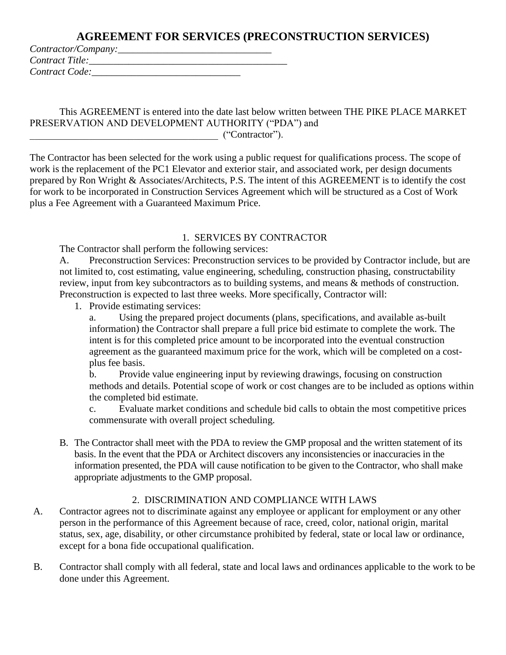| Contractor/Company: |  |
|---------------------|--|
| Contract Title:     |  |
| Contract Code:      |  |

This AGREEMENT is entered into the date last below written between THE PIKE PLACE MARKET PRESERVATION AND DEVELOPMENT AUTHORITY ("PDA") and  $($ "Contractor").

The Contractor has been selected for the work using a public request for qualifications process. The scope of work is the replacement of the PC1 Elevator and exterior stair, and associated work, per design documents prepared by Ron Wright & Associates/Architects, P.S. The intent of this AGREEMENT is to identify the cost for work to be incorporated in Construction Services Agreement which will be structured as a Cost of Work plus a Fee Agreement with a Guaranteed Maximum Price.

#### 1. SERVICES BY CONTRACTOR

The Contractor shall perform the following services:

A. Preconstruction Services: Preconstruction services to be provided by Contractor include, but are not limited to, cost estimating, value engineering, scheduling, construction phasing, constructability review, input from key subcontractors as to building systems, and means & methods of construction. Preconstruction is expected to last three weeks. More specifically, Contractor will:

1. Provide estimating services:

a. Using the prepared project documents (plans, specifications, and available as-built information) the Contractor shall prepare a full price bid estimate to complete the work. The intent is for this completed price amount to be incorporated into the eventual construction agreement as the guaranteed maximum price for the work, which will be completed on a costplus fee basis.

b. Provide value engineering input by reviewing drawings, focusing on construction methods and details. Potential scope of work or cost changes are to be included as options within the completed bid estimate.

c. Evaluate market conditions and schedule bid calls to obtain the most competitive prices commensurate with overall project scheduling.

B. The Contractor shall meet with the PDA to review the GMP proposal and the written statement of its basis. In the event that the PDA or Architect discovers any inconsistencies or inaccuracies in the information presented, the PDA will cause notification to be given to the Contractor, who shall make appropriate adjustments to the GMP proposal.

#### 2. DISCRIMINATION AND COMPLIANCE WITH LAWS

- A. Contractor agrees not to discriminate against any employee or applicant for employment or any other person in the performance of this Agreement because of race, creed, color, national origin, marital status, sex, age, disability, or other circumstance prohibited by federal, state or local law or ordinance, except for a bona fide occupational qualification.
- B. Contractor shall comply with all federal, state and local laws and ordinances applicable to the work to be done under this Agreement.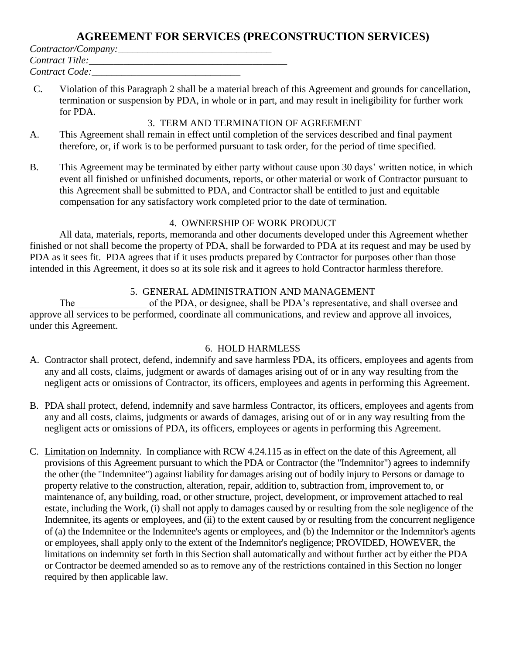| Contractor/Company: |  |
|---------------------|--|
| Contract Title:     |  |
| Contract Code:      |  |

C. Violation of this Paragraph 2 shall be a material breach of this Agreement and grounds for cancellation, termination or suspension by PDA, in whole or in part, and may result in ineligibility for further work for PDA.

#### 3. TERM AND TERMINATION OF AGREEMENT

- A. This Agreement shall remain in effect until completion of the services described and final payment therefore, or, if work is to be performed pursuant to task order, for the period of time specified.
- B. This Agreement may be terminated by either party without cause upon 30 days' written notice, in which event all finished or unfinished documents, reports, or other material or work of Contractor pursuant to this Agreement shall be submitted to PDA, and Contractor shall be entitled to just and equitable compensation for any satisfactory work completed prior to the date of termination.

#### 4. OWNERSHIP OF WORK PRODUCT

All data, materials, reports, memoranda and other documents developed under this Agreement whether finished or not shall become the property of PDA, shall be forwarded to PDA at its request and may be used by PDA as it sees fit. PDA agrees that if it uses products prepared by Contractor for purposes other than those intended in this Agreement, it does so at its sole risk and it agrees to hold Contractor harmless therefore.

#### 5. GENERAL ADMINISTRATION AND MANAGEMENT

The of the PDA, or designee, shall be PDA's representative, and shall oversee and approve all services to be performed, coordinate all communications, and review and approve all invoices, under this Agreement.

#### 6. HOLD HARMLESS

- A. Contractor shall protect, defend, indemnify and save harmless PDA, its officers, employees and agents from any and all costs, claims, judgment or awards of damages arising out of or in any way resulting from the negligent acts or omissions of Contractor, its officers, employees and agents in performing this Agreement.
- B. PDA shall protect, defend, indemnify and save harmless Contractor, its officers, employees and agents from any and all costs, claims, judgments or awards of damages, arising out of or in any way resulting from the negligent acts or omissions of PDA, its officers, employees or agents in performing this Agreement.
- C. Limitation on Indemnity. In compliance with RCW 4.24.115 as in effect on the date of this Agreement, all provisions of this Agreement pursuant to which the PDA or Contractor (the "Indemnitor") agrees to indemnify the other (the "Indemnitee") against liability for damages arising out of bodily injury to Persons or damage to property relative to the construction, alteration, repair, addition to, subtraction from, improvement to, or maintenance of, any building, road, or other structure, project, development, or improvement attached to real estate, including the Work, (i) shall not apply to damages caused by or resulting from the sole negligence of the Indemnitee, its agents or employees, and (ii) to the extent caused by or resulting from the concurrent negligence of (a) the Indemnitee or the Indemnitee's agents or employees, and (b) the Indemnitor or the Indemnitor's agents or employees, shall apply only to the extent of the Indemnitor's negligence; PROVIDED, HOWEVER, the limitations on indemnity set forth in this Section shall automatically and without further act by either the PDA or Contractor be deemed amended so as to remove any of the restrictions contained in this Section no longer required by then applicable law.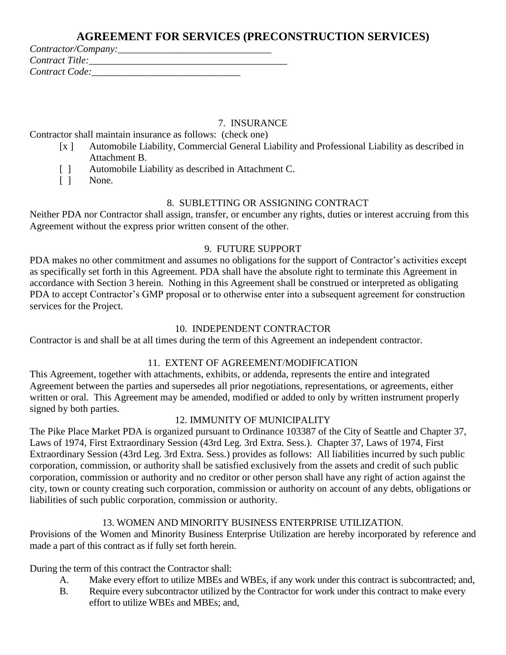| Contractor/Company: |  |
|---------------------|--|
| Contract Title:     |  |
| Contract Code:      |  |

#### 7. INSURANCE

Contractor shall maintain insurance as follows: (check one)

- [x ] Automobile Liability, Commercial General Liability and Professional Liability as described in Attachment B.
- [ ] Automobile Liability as described in Attachment C.
- [ ] None.

#### 8. SUBLETTING OR ASSIGNING CONTRACT

Neither PDA nor Contractor shall assign, transfer, or encumber any rights, duties or interest accruing from this Agreement without the express prior written consent of the other.

### 9. FUTURE SUPPORT

PDA makes no other commitment and assumes no obligations for the support of Contractor's activities except as specifically set forth in this Agreement. PDA shall have the absolute right to terminate this Agreement in accordance with Section 3 herein. Nothing in this Agreement shall be construed or interpreted as obligating PDA to accept Contractor's GMP proposal or to otherwise enter into a subsequent agreement for construction services for the Project.

#### 10. INDEPENDENT CONTRACTOR

Contractor is and shall be at all times during the term of this Agreement an independent contractor.

#### 11. EXTENT OF AGREEMENT/MODIFICATION

This Agreement, together with attachments, exhibits, or addenda, represents the entire and integrated Agreement between the parties and supersedes all prior negotiations, representations, or agreements, either written or oral. This Agreement may be amended, modified or added to only by written instrument properly signed by both parties.

## 12. IMMUNITY OF MUNICIPALITY

The Pike Place Market PDA is organized pursuant to Ordinance 103387 of the City of Seattle and Chapter 37, Laws of 1974, First Extraordinary Session (43rd Leg. 3rd Extra. Sess.). Chapter 37, Laws of 1974, First Extraordinary Session (43rd Leg. 3rd Extra. Sess.) provides as follows: All liabilities incurred by such public corporation, commission, or authority shall be satisfied exclusively from the assets and credit of such public corporation, commission or authority and no creditor or other person shall have any right of action against the city, town or county creating such corporation, commission or authority on account of any debts, obligations or liabilities of such public corporation, commission or authority.

## 13. WOMEN AND MINORITY BUSINESS ENTERPRISE UTILIZATION.

Provisions of the Women and Minority Business Enterprise Utilization are hereby incorporated by reference and made a part of this contract as if fully set forth herein.

During the term of this contract the Contractor shall:

- A. Make every effort to utilize MBEs and WBEs, if any work under this contract is subcontracted; and,
- B. Require every subcontractor utilized by the Contractor for work under this contract to make every effort to utilize WBEs and MBEs; and,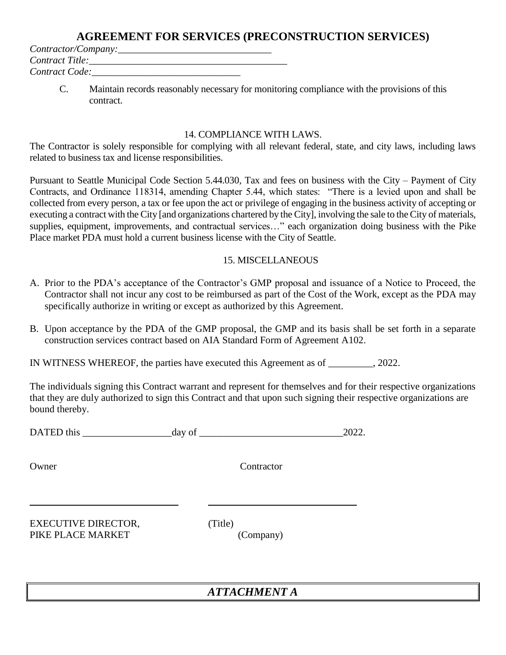*Contractor/Company:\_\_\_\_\_\_\_\_\_\_\_\_\_\_\_\_\_\_\_\_\_\_\_\_\_\_\_\_\_\_\_ Contract Title:\_\_\_\_\_\_\_\_\_\_\_\_\_\_\_\_\_\_\_\_\_\_\_\_\_\_\_\_\_\_\_\_\_\_\_\_\_\_\_\_ Contract Code:\_\_\_\_\_\_\_\_\_\_\_\_\_\_\_\_\_\_\_\_\_\_\_\_\_\_\_\_\_\_*

> C. Maintain records reasonably necessary for monitoring compliance with the provisions of this contract.

#### 14. COMPLIANCE WITH LAWS.

The Contractor is solely responsible for complying with all relevant federal, state, and city laws, including laws related to business tax and license responsibilities.

Pursuant to Seattle Municipal Code Section 5.44.030, Tax and fees on business with the City – Payment of City Contracts, and Ordinance 118314, amending Chapter 5.44, which states: "There is a levied upon and shall be collected from every person, a tax or fee upon the act or privilege of engaging in the business activity of accepting or executing a contract with the City [and organizations chartered by the City], involving the sale to the City of materials, supplies, equipment, improvements, and contractual services…" each organization doing business with the Pike Place market PDA must hold a current business license with the City of Seattle.

#### 15. MISCELLANEOUS

- A. Prior to the PDA's acceptance of the Contractor's GMP proposal and issuance of a Notice to Proceed, the Contractor shall not incur any cost to be reimbursed as part of the Cost of the Work, except as the PDA may specifically authorize in writing or except as authorized by this Agreement.
- B. Upon acceptance by the PDA of the GMP proposal, the GMP and its basis shall be set forth in a separate construction services contract based on AIA Standard Form of Agreement A102.

IN WITNESS WHEREOF, the parties have executed this Agreement as of  $\qquad \qquad .2022$ .

The individuals signing this Contract warrant and represent for themselves and for their respective organizations that they are duly authorized to sign this Contract and that upon such signing their respective organizations are bound thereby.

| <b>DATED</b><br>this | ua | ∩י |
|----------------------|----|----|
|----------------------|----|----|

Owner Contractor

EXECUTIVE DIRECTOR, (Title) PIKE PLACE MARKET (Company)

## *ATTACHMENT A*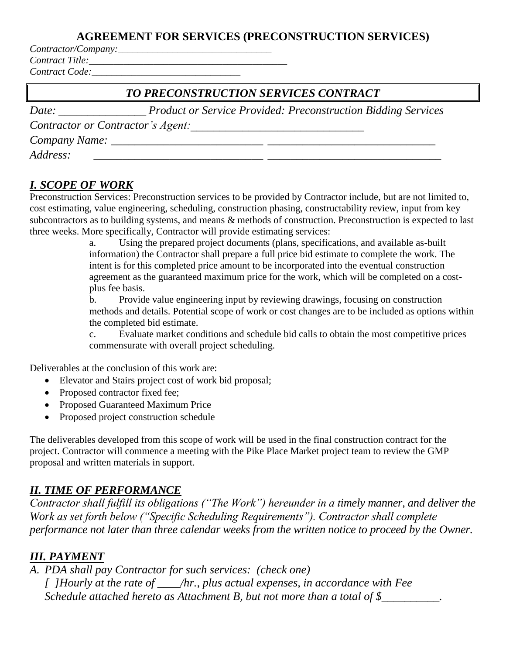*Contractor/Company:\_\_\_\_\_\_\_\_\_\_\_\_\_\_\_\_\_\_\_\_\_\_\_\_\_\_\_\_\_\_\_* 

*Contract Title:\_\_\_\_\_\_\_\_\_\_\_\_\_\_\_\_\_\_\_\_\_\_\_\_\_\_\_\_\_\_\_\_\_\_\_\_\_\_\_\_ Contract Code:\_\_\_\_\_\_\_\_\_\_\_\_\_\_\_\_\_\_\_\_\_\_\_\_\_\_\_\_\_\_*

| TO PRECONSTRUCTION SERVICES CONTRACT       |                                                                      |  |  |
|--------------------------------------------|----------------------------------------------------------------------|--|--|
| Date:<br>the control of the control of the | <b>Product or Service Provided: Preconstruction Bidding Services</b> |  |  |
| Contractor or Contractor's Agent:          |                                                                      |  |  |
|                                            |                                                                      |  |  |
| Address:                                   |                                                                      |  |  |

# *I. SCOPE OF WORK*

Preconstruction Services: Preconstruction services to be provided by Contractor include, but are not limited to, cost estimating, value engineering, scheduling, construction phasing, constructability review, input from key subcontractors as to building systems, and means & methods of construction. Preconstruction is expected to last three weeks. More specifically, Contractor will provide estimating services:

a. Using the prepared project documents (plans, specifications, and available as-built information) the Contractor shall prepare a full price bid estimate to complete the work. The intent is for this completed price amount to be incorporated into the eventual construction agreement as the guaranteed maximum price for the work, which will be completed on a costplus fee basis.

b. Provide value engineering input by reviewing drawings, focusing on construction methods and details. Potential scope of work or cost changes are to be included as options within the completed bid estimate.

c. Evaluate market conditions and schedule bid calls to obtain the most competitive prices commensurate with overall project scheduling.

Deliverables at the conclusion of this work are:

- Elevator and Stairs project cost of work bid proposal;
- Proposed contractor fixed fee;
- Proposed Guaranteed Maximum Price
- Proposed project construction schedule

The deliverables developed from this scope of work will be used in the final construction contract for the project. Contractor will commence a meeting with the Pike Place Market project team to review the GMP proposal and written materials in support.

# *II. TIME OF PERFORMANCE*

*Contractor shall fulfill its obligations ("The Work") hereunder in a timely manner, and deliver the Work as set forth below ("Specific Scheduling Requirements"). Contractor shall complete performance not later than three calendar weeks from the written notice to proceed by the Owner.*

# *III. PAYMENT*

*A. PDA shall pay Contractor for such services: (check one) [ ]Hourly at the rate of \_\_\_\_/hr., plus actual expenses, in accordance with Fee Schedule attached hereto as Attachment B, but not more than a total of \$\_\_\_\_\_\_\_\_\_.*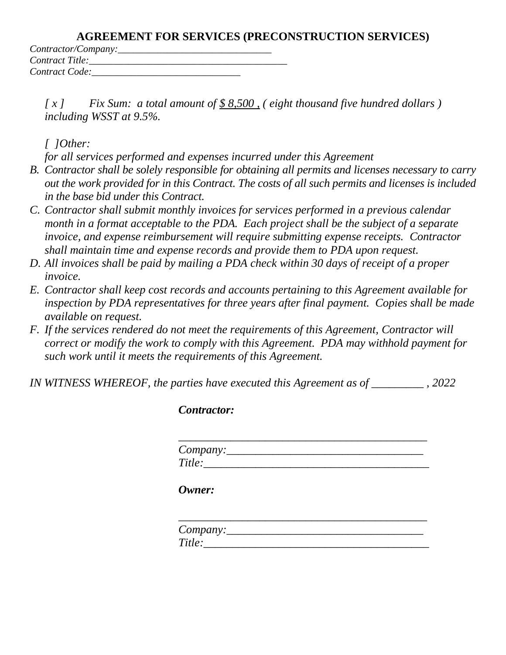| Contractor/Company: |  |
|---------------------|--|
| Contract Title:     |  |
| Contract Code:      |  |

*[ x ] Fix Sum: a total amount of \$ 8,500 , ( eight thousand five hundred dollars ) including WSST at 9.5%.*

*[ ]Other:*

*for all services performed and expenses incurred under this Agreement*

- *B. Contractor shall be solely responsible for obtaining all permits and licenses necessary to carry out the work provided for in this Contract. The costs of all such permits and licenses is included in the base bid under this Contract.*
- *C. Contractor shall submit monthly invoices for services performed in a previous calendar month in a format acceptable to the PDA. Each project shall be the subject of a separate invoice, and expense reimbursement will require submitting expense receipts. Contractor shall maintain time and expense records and provide them to PDA upon request.*
- *D. All invoices shall be paid by mailing a PDA check within 30 days of receipt of a proper invoice.*
- *E. Contractor shall keep cost records and accounts pertaining to this Agreement available for inspection by PDA representatives for three years after final payment. Copies shall be made available on request.*
- *F. If the services rendered do not meet the requirements of this Agreement, Contractor will correct or modify the work to comply with this Agreement. PDA may withhold payment for such work until it meets the requirements of this Agreement.*

*IN WITNESS WHEREOF, the parties have executed this Agreement as of \_\_\_\_\_\_\_\_\_ , 2022*

*Contractor:*

| Company: |  |  |
|----------|--|--|
| Title:   |  |  |

*Owner:*

| Company: |  |  |
|----------|--|--|
| Title:   |  |  |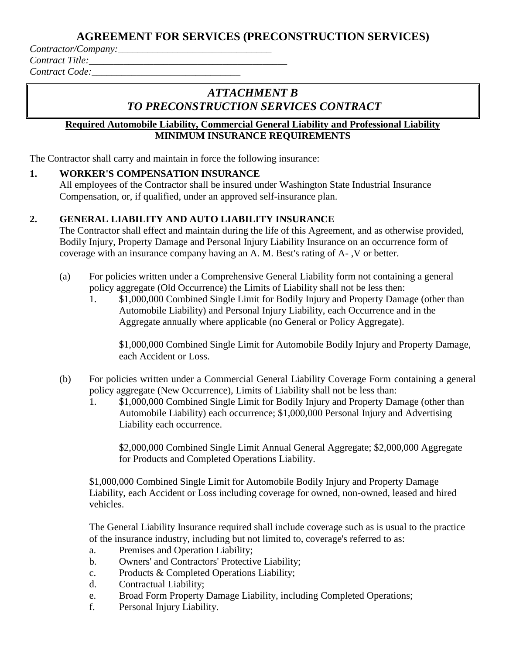*Contractor/Company:\_\_\_\_\_\_\_\_\_\_\_\_\_\_\_\_\_\_\_\_\_\_\_\_\_\_\_\_\_\_\_* 

*Contract Title:* 

*Contract Code:\_\_\_\_\_\_\_\_\_\_\_\_\_\_\_\_\_\_\_\_\_\_\_\_\_\_\_\_\_\_*

# *ATTACHMENT B TO PRECONSTRUCTION SERVICES CONTRACT*

### **Required Automobile Liability, Commercial General Liability and Professional Liability MINIMUM INSURANCE REQUIREMENTS**

The Contractor shall carry and maintain in force the following insurance:

## **1. WORKER'S COMPENSATION INSURANCE**

All employees of the Contractor shall be insured under Washington State Industrial Insurance Compensation, or, if qualified, under an approved self-insurance plan.

## **2. GENERAL LIABILITY AND AUTO LIABILITY INSURANCE**

The Contractor shall effect and maintain during the life of this Agreement, and as otherwise provided, Bodily Injury, Property Damage and Personal Injury Liability Insurance on an occurrence form of coverage with an insurance company having an A. M. Best's rating of A- ,V or better.

- (a) For policies written under a Comprehensive General Liability form not containing a general policy aggregate (Old Occurrence) the Limits of Liability shall not be less then:
	- 1. \$1,000,000 Combined Single Limit for Bodily Injury and Property Damage (other than Automobile Liability) and Personal Injury Liability, each Occurrence and in the Aggregate annually where applicable (no General or Policy Aggregate).

\$1,000,000 Combined Single Limit for Automobile Bodily Injury and Property Damage, each Accident or Loss.

- (b) For policies written under a Commercial General Liability Coverage Form containing a general policy aggregate (New Occurrence), Limits of Liability shall not be less than:
	- 1. \$1,000,000 Combined Single Limit for Bodily Injury and Property Damage (other than Automobile Liability) each occurrence; \$1,000,000 Personal Injury and Advertising Liability each occurrence.

\$2,000,000 Combined Single Limit Annual General Aggregate; \$2,000,000 Aggregate for Products and Completed Operations Liability.

\$1,000,000 Combined Single Limit for Automobile Bodily Injury and Property Damage Liability, each Accident or Loss including coverage for owned, non-owned, leased and hired vehicles.

The General Liability Insurance required shall include coverage such as is usual to the practice of the insurance industry, including but not limited to, coverage's referred to as:

- a. Premises and Operation Liability;
- b. Owners' and Contractors' Protective Liability;
- c. Products & Completed Operations Liability;
- d. Contractual Liability;
- e. Broad Form Property Damage Liability, including Completed Operations;
- f. Personal Injury Liability.